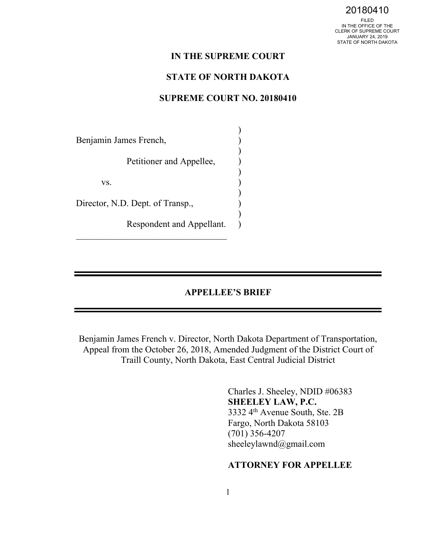FILED IN THE OFFICE OF THE CLERK OF SUPREME COURT JANUARY 24, 2019 STATE OF NORTH DAKOTA

#### **IN THE SUPREME COURT**

### **STATE OF NORTH DAKOTA**

### **SUPREME COURT NO. 20180410**

| Benjamin James French,           |  |
|----------------------------------|--|
| Petitioner and Appellee,         |  |
| VS.                              |  |
| Director, N.D. Dept. of Transp., |  |
| Respondent and Appellant.        |  |

#### **APPELLEE'S BRIEF**

Benjamin James French v. Director, North Dakota Department of Transportation, Appeal from the October 26, 2018, Amended Judgment of the District Court of Traill County, North Dakota, East Central Judicial District

> Charles J. Sheeley, NDID #06383 **SHEELEY LAW, P.C.**  3332 4th Avenue South, Ste. 2B Fargo, North Dakota 58103 (701) 356-4207 sheeleylawnd@gmail.com

# **ATTORNEY FOR APPELLEE**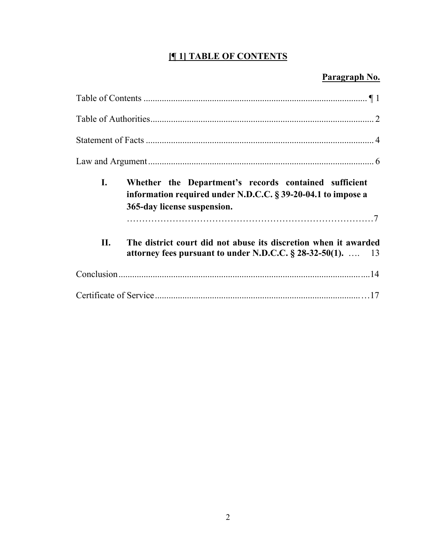# **[¶ 1] TABLE OF CONTENTS**

# **Paragraph No.**

| I. | Whether the Department's records contained sufficient<br>information required under N.D.C.C. § 39-20-04.1 to impose a<br>365-day license suspension. |
|----|------------------------------------------------------------------------------------------------------------------------------------------------------|
| П. | The district court did not abuse its discretion when it awarded<br>attorney fees pursuant to under N.D.C.C. $\S$ 28-32-50(1).  13                    |
|    |                                                                                                                                                      |
|    |                                                                                                                                                      |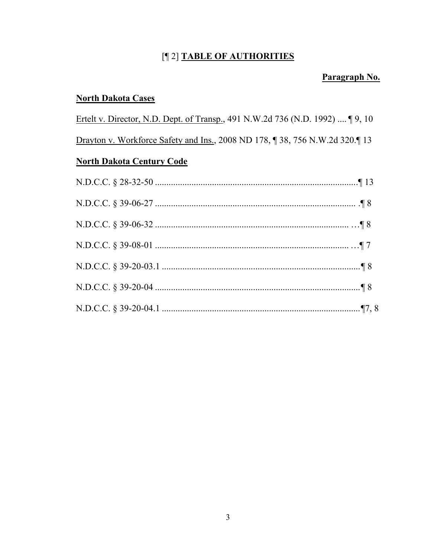# [¶ 2] TABLE OF AUTHORITIES

# Paragraph No.

# **North Dakota Cases**

Ertelt v. Director, N.D. Dept. of Transp., 491 N.W.2d 736 (N.D. 1992) .... [9, 10] Drayton v. Workforce Safety and Ins., 2008 ND 178, ¶ 38, 756 N.W.2d 320.¶ 13 **North Dakota Century Code**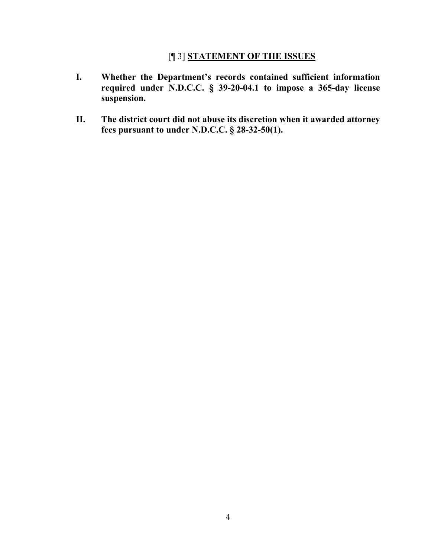# [¶ 3] **STATEMENT OF THE ISSUES**

- **I. Whether the Department's records contained sufficient information required under N.D.C.C. § 39-20-04.1 to impose a 365-day license suspension.**
- **II. The district court did not abuse its discretion when it awarded attorney fees pursuant to under N.D.C.C. § 28-32-50(1).**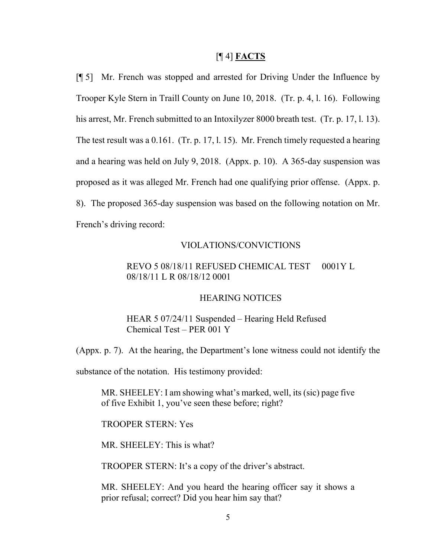#### [¶ 4] **FACTS**

[¶ 5] Mr. French was stopped and arrested for Driving Under the Influence by Trooper Kyle Stern in Traill County on June 10, 2018. (Tr. p. 4, l. 16). Following his arrest, Mr. French submitted to an Intoxilyzer 8000 breath test. (Tr. p. 17, l. 13). The test result was a 0.161. (Tr. p. 17, l. 15). Mr. French timely requested a hearing and a hearing was held on July 9, 2018. (Appx. p. 10). A 365-day suspension was proposed as it was alleged Mr. French had one qualifying prior offense. (Appx. p. 8). The proposed 365-day suspension was based on the following notation on Mr. French's driving record:

### VIOLATIONS/CONVICTIONS

# REVO 5 08/18/11 REFUSED CHEMICAL TEST 0001Y L 08/18/11 L R 08/18/12 0001

### HEARING NOTICES

# HEAR 5 07/24/11 Suspended – Hearing Held Refused Chemical Test – PER 001 Y

(Appx. p. 7). At the hearing, the Department's lone witness could not identify the

substance of the notation. His testimony provided:

MR. SHEELEY: I am showing what's marked, well, its (sic) page five of five Exhibit 1, you've seen these before; right?

#### TROOPER STERN: Yes

MR. SHEELEY: This is what?

TROOPER STERN: It's a copy of the driver's abstract.

MR. SHEELEY: And you heard the hearing officer say it shows a prior refusal; correct? Did you hear him say that?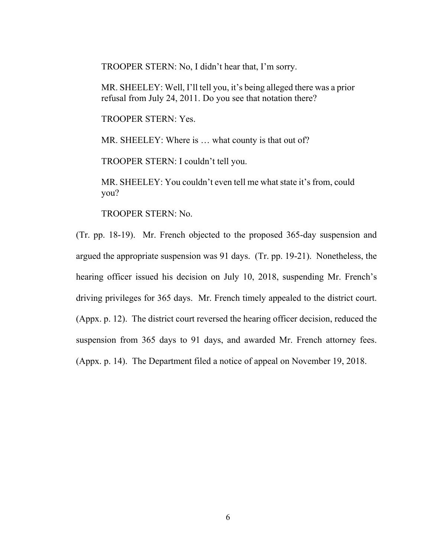TROOPER STERN: No, I didn't hear that, I'm sorry.

MR. SHEELEY: Well, I'll tell you, it's being alleged there was a prior refusal from July 24, 2011. Do you see that notation there?

TROOPER STERN: Yes.

MR. SHEELEY: Where is ... what county is that out of?

TROOPER STERN: I couldn't tell you.

MR. SHEELEY: You couldn't even tell me what state it's from, could you?

TROOPER STERN: No.

(Tr. pp. 18-19). Mr. French objected to the proposed 365-day suspension and argued the appropriate suspension was 91 days. (Tr. pp. 19-21). Nonetheless, the hearing officer issued his decision on July 10, 2018, suspending Mr. French's driving privileges for 365 days. Mr. French timely appealed to the district court. (Appx. p. 12). The district court reversed the hearing officer decision, reduced the suspension from 365 days to 91 days, and awarded Mr. French attorney fees. (Appx. p. 14). The Department filed a notice of appeal on November 19, 2018.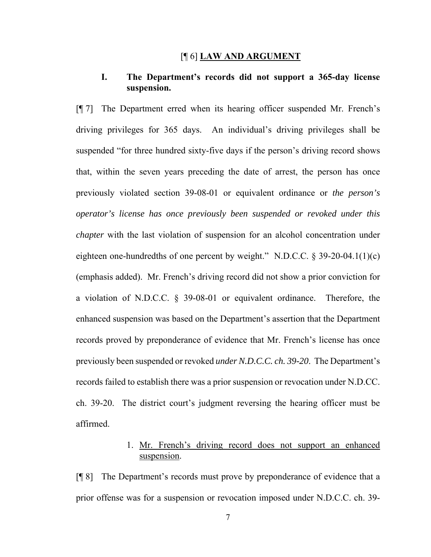#### [¶ 6] **LAW AND ARGUMENT**

### **I. The Department's records did not support a 365-day license suspension.**

[¶ 7] The Department erred when its hearing officer suspended Mr. French's driving privileges for 365 days. An individual's driving privileges shall be suspended "for three hundred sixty-five days if the person's driving record shows that, within the seven years preceding the date of arrest, the person has once previously violated section 39-08-01 or equivalent ordinance or *the person's operator's license has once previously been suspended or revoked under this chapter* with the last violation of suspension for an alcohol concentration under eighteen one-hundredths of one percent by weight." N.D.C.C. § 39-20-04.1(1)(c) (emphasis added). Mr. French's driving record did not show a prior conviction for a violation of N.D.C.C. § 39-08-01 or equivalent ordinance. Therefore, the enhanced suspension was based on the Department's assertion that the Department records proved by preponderance of evidence that Mr. French's license has once previously been suspended or revoked *under N.D.C.C. ch. 39-20*. The Department's records failed to establish there was a prior suspension or revocation under N.D.CC. ch. 39-20. The district court's judgment reversing the hearing officer must be affirmed.

# 1. Mr. French's driving record does not support an enhanced suspension.

[¶ 8] The Department's records must prove by preponderance of evidence that a prior offense was for a suspension or revocation imposed under N.D.C.C. ch. 39-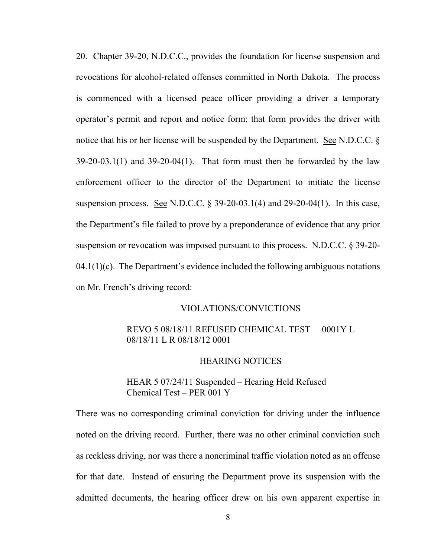20. Chapter 39-20, N.D.C.C., provides the foundation for license suspension and revocations for alcohol-related offenses committed in North Dakota. The process is commenced with a licensed peace officer providing a driver a temporary operator's permit and report and notice form; that form provides the driver with notice that his or her license will be suspended by the Department. See N.D.C.C. §  $39-20-03.1(1)$  and  $39-20-04(1)$ . That form must then be forwarded by the law enforcement officer to the director of the Department to initiate the license suspension process. See N.D.C.C.  $\S 39-20-03.1(4)$  and 29-20-04(1). In this case, the Department's file failed to prove by a preponderance of evidence that any prior suspension or revocation was imposed pursuant to this process. N.D.C.C. § 39-20-  $04.1(1)(c)$ . The Department's evidence included the following ambiguous notations on Mr. French's driving record:

#### VIOLATIONS/CONVICTIONS

## REVO 5 08/18/11 REFUSED CHEMICAL TEST 0001Y L 08/18/11 L R 08/18/12 0001

#### HEARING NOTICES

# HEAR 5 07/24/11 Suspended – Hearing Held Refused Chemical Test – PER 001 Y

There was no corresponding criminal conviction for driving under the influence noted on the driving record. Further, there was no other criminal conviction such as reckless driving, nor was there a noncriminal traffic violation noted as an offense for that date. Instead of ensuring the Department prove its suspension with the admitted documents, the hearing officer drew on his own apparent expertise in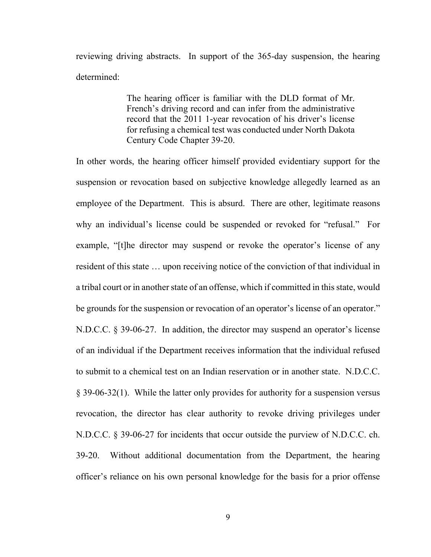reviewing driving abstracts. In support of the 365-day suspension, the hearing determined:

> The hearing officer is familiar with the DLD format of Mr. French's driving record and can infer from the administrative record that the 2011 1-year revocation of his driver's license for refusing a chemical test was conducted under North Dakota Century Code Chapter 39-20.

In other words, the hearing officer himself provided evidentiary support for the suspension or revocation based on subjective knowledge allegedly learned as an employee of the Department. This is absurd. There are other, legitimate reasons why an individual's license could be suspended or revoked for "refusal." For example, "[t]he director may suspend or revoke the operator's license of any resident of this state … upon receiving notice of the conviction of that individual in a tribal court or in another state of an offense, which if committed in this state, would be grounds for the suspension or revocation of an operator's license of an operator." N.D.C.C. § 39-06-27. In addition, the director may suspend an operator's license of an individual if the Department receives information that the individual refused to submit to a chemical test on an Indian reservation or in another state. N.D.C.C. § 39-06-32(1). While the latter only provides for authority for a suspension versus revocation, the director has clear authority to revoke driving privileges under N.D.C.C. § 39-06-27 for incidents that occur outside the purview of N.D.C.C. ch. 39-20. Without additional documentation from the Department, the hearing officer's reliance on his own personal knowledge for the basis for a prior offense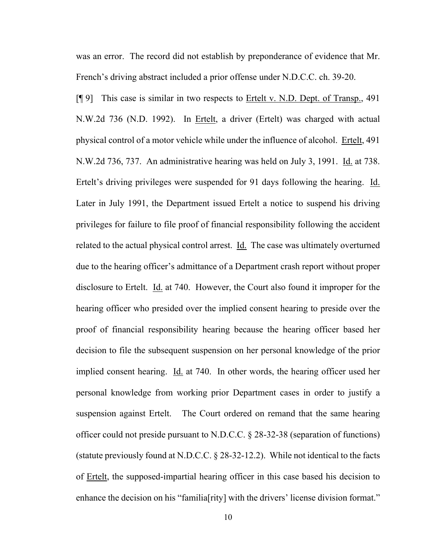was an error. The record did not establish by preponderance of evidence that Mr. French's driving abstract included a prior offense under N.D.C.C. ch. 39-20.

[¶ 9] This case is similar in two respects to Ertelt v. N.D. Dept. of Transp., 491 N.W.2d 736 (N.D. 1992). In Ertelt, a driver (Ertelt) was charged with actual physical control of a motor vehicle while under the influence of alcohol. Ertelt, 491 N.W.2d 736, 737. An administrative hearing was held on July 3, 1991. Id. at 738. Ertelt's driving privileges were suspended for 91 days following the hearing. Id. Later in July 1991, the Department issued Ertelt a notice to suspend his driving privileges for failure to file proof of financial responsibility following the accident related to the actual physical control arrest. Id. The case was ultimately overturned due to the hearing officer's admittance of a Department crash report without proper disclosure to Ertelt. Id. at 740. However, the Court also found it improper for the hearing officer who presided over the implied consent hearing to preside over the proof of financial responsibility hearing because the hearing officer based her decision to file the subsequent suspension on her personal knowledge of the prior implied consent hearing. Id. at 740. In other words, the hearing officer used her personal knowledge from working prior Department cases in order to justify a suspension against Ertelt. The Court ordered on remand that the same hearing officer could not preside pursuant to N.D.C.C. § 28-32-38 (separation of functions) (statute previously found at N.D.C.C. § 28-32-12.2). While not identical to the facts of Ertelt, the supposed-impartial hearing officer in this case based his decision to enhance the decision on his "familia [rity] with the drivers' license division format."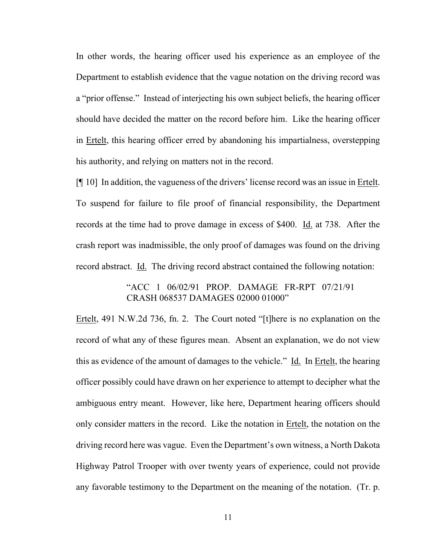In other words, the hearing officer used his experience as an employee of the Department to establish evidence that the vague notation on the driving record was a "prior offense." Instead of interjecting his own subject beliefs, the hearing officer should have decided the matter on the record before him. Like the hearing officer in Ertelt, this hearing officer erred by abandoning his impartialness, overstepping his authority, and relying on matters not in the record.

[¶ 10] In addition, the vagueness of the drivers' license record was an issue in Ertelt. To suspend for failure to file proof of financial responsibility, the Department records at the time had to prove damage in excess of \$400. Id. at 738. After the crash report was inadmissible, the only proof of damages was found on the driving record abstract. Id. The driving record abstract contained the following notation:

# "ACC 1 06/02/91 PROP. DAMAGE FR-RPT 07/21/91 CRASH 068537 DAMAGES 02000 01000"

Ertelt, 491 N.W.2d 736, fn. 2. The Court noted "[t]here is no explanation on the record of what any of these figures mean. Absent an explanation, we do not view this as evidence of the amount of damages to the vehicle." Id. In Ertelt, the hearing officer possibly could have drawn on her experience to attempt to decipher what the ambiguous entry meant. However, like here, Department hearing officers should only consider matters in the record. Like the notation in Ertelt, the notation on the driving record here was vague. Even the Department's own witness, a North Dakota Highway Patrol Trooper with over twenty years of experience, could not provide any favorable testimony to the Department on the meaning of the notation. (Tr. p.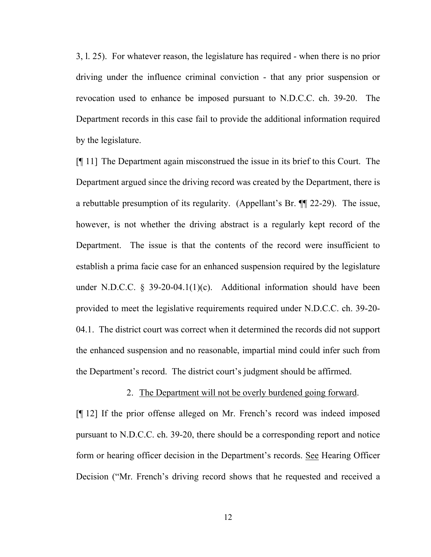3, l. 25). For whatever reason, the legislature has required - when there is no prior driving under the influence criminal conviction - that any prior suspension or revocation used to enhance be imposed pursuant to N.D.C.C. ch. 39-20. The Department records in this case fail to provide the additional information required by the legislature.

[¶ 11] The Department again misconstrued the issue in its brief to this Court. The Department argued since the driving record was created by the Department, there is a rebuttable presumption of its regularity. (Appellant's Br. ¶¶ 22-29). The issue, however, is not whether the driving abstract is a regularly kept record of the Department. The issue is that the contents of the record were insufficient to establish a prima facie case for an enhanced suspension required by the legislature under N.D.C.C.  $\S$  39-20-04.1(1)(c). Additional information should have been provided to meet the legislative requirements required under N.D.C.C. ch. 39-20- 04.1. The district court was correct when it determined the records did not support the enhanced suspension and no reasonable, impartial mind could infer such from the Department's record. The district court's judgment should be affirmed.

#### 2. The Department will not be overly burdened going forward.

[¶ 12] If the prior offense alleged on Mr. French's record was indeed imposed pursuant to N.D.C.C. ch. 39-20, there should be a corresponding report and notice form or hearing officer decision in the Department's records. See Hearing Officer Decision ("Mr. French's driving record shows that he requested and received a

12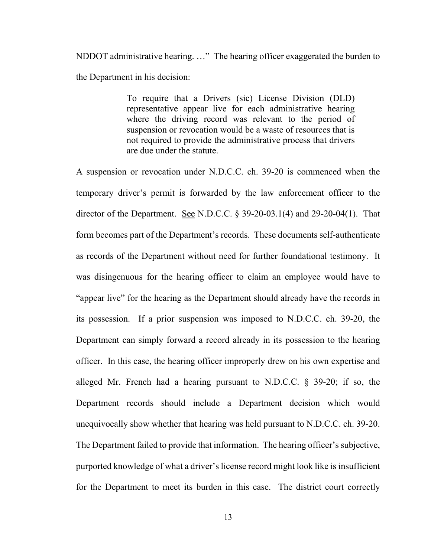NDDOT administrative hearing. …" The hearing officer exaggerated the burden to the Department in his decision:

> To require that a Drivers (sic) License Division (DLD) representative appear live for each administrative hearing where the driving record was relevant to the period of suspension or revocation would be a waste of resources that is not required to provide the administrative process that drivers are due under the statute.

A suspension or revocation under N.D.C.C. ch. 39-20 is commenced when the temporary driver's permit is forwarded by the law enforcement officer to the director of the Department. See N.D.C.C. § 39-20-03.1(4) and 29-20-04(1). That form becomes part of the Department's records. These documents self-authenticate as records of the Department without need for further foundational testimony. It was disingenuous for the hearing officer to claim an employee would have to "appear live" for the hearing as the Department should already have the records in its possession. If a prior suspension was imposed to N.D.C.C. ch. 39-20, the Department can simply forward a record already in its possession to the hearing officer. In this case, the hearing officer improperly drew on his own expertise and alleged Mr. French had a hearing pursuant to N.D.C.C. § 39-20; if so, the Department records should include a Department decision which would unequivocally show whether that hearing was held pursuant to N.D.C.C. ch. 39-20. The Department failed to provide that information. The hearing officer's subjective, purported knowledge of what a driver's license record might look like is insufficient for the Department to meet its burden in this case. The district court correctly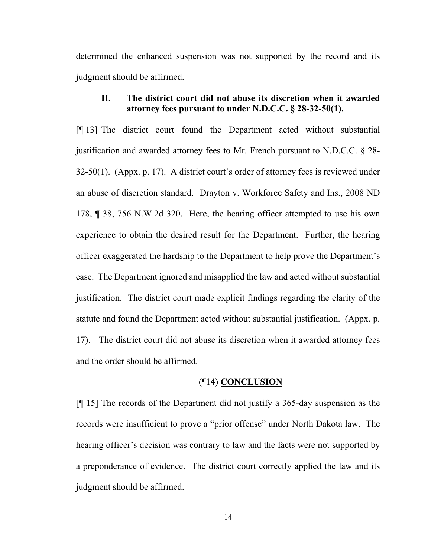determined the enhanced suspension was not supported by the record and its judgment should be affirmed.

### **II. The district court did not abuse its discretion when it awarded attorney fees pursuant to under N.D.C.C. § 28-32-50(1).**

[¶ 13] The district court found the Department acted without substantial justification and awarded attorney fees to Mr. French pursuant to N.D.C.C. § 28- 32-50(1). (Appx. p. 17). A district court's order of attorney fees is reviewed under an abuse of discretion standard. Drayton v. Workforce Safety and Ins., 2008 ND 178, ¶ 38, 756 N.W.2d 320. Here, the hearing officer attempted to use his own experience to obtain the desired result for the Department. Further, the hearing officer exaggerated the hardship to the Department to help prove the Department's case. The Department ignored and misapplied the law and acted without substantial justification. The district court made explicit findings regarding the clarity of the statute and found the Department acted without substantial justification. (Appx. p. 17). The district court did not abuse its discretion when it awarded attorney fees and the order should be affirmed.

#### (¶14) **CONCLUSION**

[¶ 15] The records of the Department did not justify a 365-day suspension as the records were insufficient to prove a "prior offense" under North Dakota law. The hearing officer's decision was contrary to law and the facts were not supported by a preponderance of evidence. The district court correctly applied the law and its judgment should be affirmed.